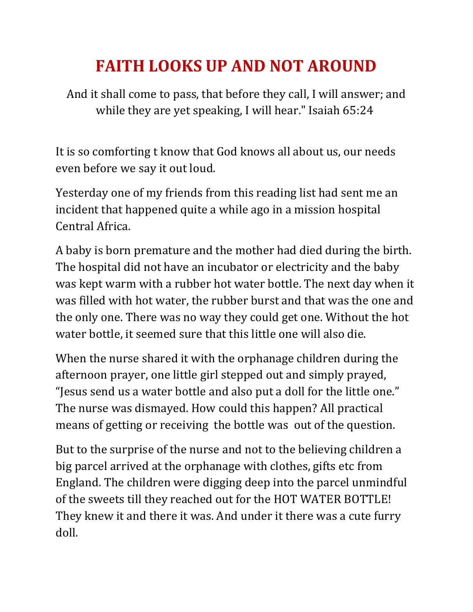## **FAITH LOOKS UP AND NOT AROUND**

And it shall come to pass, that before they call, I will answer; and while they are yet speaking, I will hear." Isaiah 65:24

It is so comforting t know that God knows all about us, our needs even before we say it out loud.

Yesterday one of my friends from this reading list had sent me an incident that happened quite a while ago in a mission hospital Central Africa.

A baby is born premature and the mother had died during the birth. The hospital did not have an incubator or electricity and the baby was kept warm with a rubber hot water bottle. The next day when it was filled with hot water, the rubber burst and that was the one and the only one. There was no way they could get one. Without the hot water bottle, it seemed sure that this little one will also die.

When the nurse shared it with the orphanage children during the afternoon prayer, one little girl stepped out and simply prayed, "Jesus send us a water bottle and also put a doll for the little one." The nurse was dismayed. How could this happen? All practical means of getting or receiving the bottle was out of the question.

But to the surprise of the nurse and not to the believing children a big parcel arrived at the orphanage with clothes, gifts etc from England. The children were digging deep into the parcel unmindful of the sweets till they reached out for the HOT WATER BOTTLE! They knew it and there it was. And under it there was a cute furry doll.